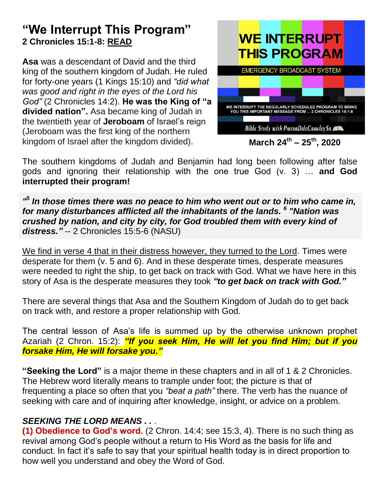# **"We Interrupt This Program" 2 Chronicles 15:1-8: READ**

**Asa** was a descendant of David and the third king of the southern kingdom of Judah. He ruled for forty-one years [\(1 Kings 15:10\)](https://biblia.com/bible/esv/1%20Kings%2015.10) and *"did what was good and right in the eyes of the Lord his God"* [\(2 Chronicles 14:2\)](https://biblia.com/bible/esv/2%20Chron%2014.2). **He was the King of "a divided nation".** Asa became king of Judah in the twentieth year of **[Jeroboam](https://www.gotquestions.org/Jeroboam-in-the-Bible.html)** of Israel's reign (Jeroboam was the first king of the northern kingdom of Israel after the kingdom divided).



The southern kingdoms of Judah and Benjamin had long been following after false gods and ignoring their relationship with the one true God (v. 3) … **and God interrupted their program!**

*" 5 In those times there was no peace to him who went out or to him who came in, for many disturbances afflicted all the inhabitants of the lands. <sup>6</sup> "Nation was crushed by nation, and city by city, for God troubled them with every kind of distress."* -- 2 Chronicles 15:5-6 (NASU)

We find in verse 4 that in their distress however, they turned to the Lord. Times were desperate for them (v. 5 and 6). And in these desperate times, desperate measures were needed to right the ship, to get back on track with God. What we have here in this story of Asa is the desperate measures they took *"to get back on track with God."*

There are several things that Asa and the Southern Kingdom of Judah do to get back on track with, and restore a proper relationship with God.

The central lesson of Asa's life is summed up by the otherwise unknown prophet Azariah [\(2 Chron. 15:2\)](javascript:%7b%7d): *"If you seek Him, He will let you find Him; but if you forsake Him, He will forsake you."*

**"Seeking the Lord"** is a major theme in these chapters and in all of 1 & 2 Chronicles. The Hebrew word literally means to trample under foot; the picture is that of frequenting a place so often that you *"beat a path"* there. The verb has the nuance of seeking with care and of inquiring after knowledge, insight, or advice on a problem.

## *SEEKING THE LORD MEANS . .* .

**(1) Obedience to God's word.** [\(2 Chron. 14:4;](javascript:%7b%7d) see 15:3, 4). There is no such thing as revival among God's people without a return to His Word as the basis for life and conduct. In fact it's safe to say that your spiritual health today is in direct proportion to how well you understand and obey the Word of God.